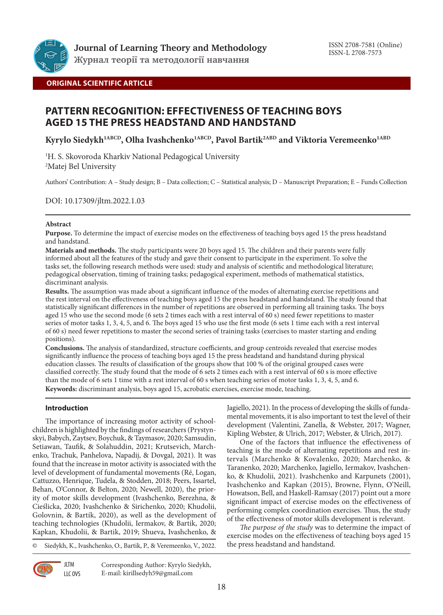

# **ORIGINAL SCIENTIFIC ARTICLE**

# **PATTERN RECOGNITION: EFFECTIVENESS OF TEACHING BOYS AGED 15 THE PRESS HEADSTAND AND HANDSTAND**

Kyrylo Siedykh<sup>1ABCD</sup>, Olha Ivashchenko<sup>1ABCD</sup>, Pavol Bartik<sup>2ABD</sup> and Viktoria Veremeenko<sup>1ABD</sup>

1 H. S. Skovoroda Kharkiv National Pedagogical University 2 Matej Bel University

Authors' Contribution: A – Study design; B – Data collection; C – Statistical analysis; D – Manuscript Preparation; E – Funds Collection

DOI: 10.17309/jltm.2022.1.03

## **Abstract**

**Purpose.** To determine the impact of exercise modes on the effectiveness of teaching boys aged 15 the press headstand and handstand.

**Materials and methods.** The study participants were 20 boys aged 15. The children and their parents were fully informed about all the features of the study and gave their consent to participate in the experiment. To solve the tasks set, the following research methods were used: study and analysis of scientific and methodological literature; pedagogical observation, timing of training tasks; pedagogical experiment, methods of mathematical statistics, discriminant analysis.

**Results.** The assumption was made about a significant influence of the modes of alternating exercise repetitions and the rest interval on the effectiveness of teaching boys aged 15 the press headstand and handstand. The study found that statistically significant differences in the number of repetitions are observed in performing all training tasks. The boys aged 15 who use the second mode (6 sets 2 times each with a rest interval of 60 s) need fewer repetitions to master series of motor tasks 1, 3, 4, 5, and 6. The boys aged 15 who use the first mode (6 sets 1 time each with a rest interval of 60 s) need fewer repetitions to master the second series of training tasks (exercises to master starting and ending positions).

**Conclusions.** The analysis of standardized, structure coefficients, and group centroids revealed that exercise modes significantly influence the process of teaching boys aged 15 the press headstand and handstand during physical education classes. The results of classification of the groups show that 100 % of the original grouped cases were classified correctly. The study found that the mode of 6 sets 2 times each with a rest interval of 60 s is more effective than the mode of 6 sets 1 time with a rest interval of 60 s when teaching series of motor tasks 1, 3, 4, 5, and 6. **Keywords:** discriminant analysis, boys aged 15, acrobatic exercises, exercise mode, teaching.

## **Introduction**

The importance of increasing motor activity of schoolchildren is highlighted by the findings of researchers (Prystynskyi, Babych, Zaytsev, Boychuk, & Taymasov, 2020; Samsudin, Setiawan, Taufik, & Solahuddin, 2021; Krutsevich, Marchenko, Trachuk, Panhelova, Napadij, & Dovgal, 2021). It was found that the increase in motor activity is associated with the level of development of fundamental movements (Ré, Logan, Cattuzzo, Henrique, Tudela, & Stodden, 2018; Peers, Issartel, Behan, O'Connor, & Belton, 2020; Newell, 2020), the priority of motor skills development (Ivashchenko, Berezhna, & Cieślicka, 2020; Ivashchenko & Sirichenko, 2020; Khudolii, Golovnin, & Bartík, 2020), as well as the development of teaching technologies (Khudolii, Iermakov, & Bartik, 2020; Kapkan, Khudolii, & Bartik, 2019; Shueva, Ivashchenko, &

© Siedykh, K., Ivashchenko, O., Bartik, P., & Veremeenko, V., 2022.

**JLTM** LLC OVS Corresponding Author: Kyrylo Siedykh, E-mail: kirillsedyh59@gmail.com

Jagiello, 2021). In the process of developing the skills of fundamental movements, it is also important to test the level of their development (Valentini, Zanella, & Webster, 2017; Wagner, Kipling Webster, & Ulrich, 2017; Webster, & Ulrich, 2017).

One of the factors that influence the effectiveness of teaching is the mode of alternating repetitions and rest intervals (Marchenko & Kovalenko, 2020; Marchenko, & Taranenko, 2020; Marchenko, Jagiello, Iermakov, Ivashchenko, & Khudolii, 2021). Ivashchenko and Karpunets (2001), Ivashchenko and Kapkan (2015), Browne, Flynn, O'Neill, Howatson, Bell, and Haskell-Ramsay (2017) point out a more significant impact of exercise modes on the effectiveness of performing complex coordination exercises. Thus, the study of the effectiveness of motor skills development is relevant.

*The purpose of the study* was to determine the impact of exercise modes on the effectiveness of teaching boys aged 15 the press headstand and handstand.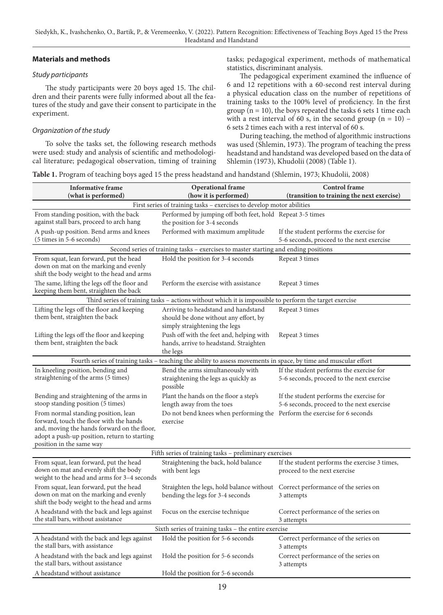## **Materials and methods**

## *Study participants*

The study participants were 20 boys aged 15. The children and their parents were fully informed about all the features of the study and gave their consent to participate in the experiment.

## *Organization of the study*

To solve the tasks set, the following research methods were used: study and analysis of scientific and methodological literature; pedagogical observation, timing of training tasks; pedagogical experiment, methods of mathematical statistics, discriminant analysis.

The pedagogical experiment examined the influence of 6 and 12 repetitions with a 60-second rest interval during a physical education class on the number of repetitions of training tasks to the 100% level of proficiency. In the first group ( $n = 10$ ), the boys repeated the tasks 6 sets 1 time each with a rest interval of 60 s, in the second group  $(n = 10)$  – 6 sets 2 times each with a rest interval of 60 s.

During teaching, the method of algorithmic instructions was used (Shlemin, 1973). The program of teaching the press headstand and handstand was developed based on the data of Shlemin (1973), Khudolii (2008) (Table 1).

**Table 1.** Program of teaching boys aged 15 the press headstand and handstand (Shlemin, 1973; Khudolii, 2008)

| <b>Informative frame</b><br>(what is performed)                                                                                                                                                           | <b>Operational frame</b><br>(how it is performed)                                                                | Control frame<br>(transition to training the next exercise)                           |  |  |  |  |
|-----------------------------------------------------------------------------------------------------------------------------------------------------------------------------------------------------------|------------------------------------------------------------------------------------------------------------------|---------------------------------------------------------------------------------------|--|--|--|--|
| First series of training tasks - exercises to develop motor abilities                                                                                                                                     |                                                                                                                  |                                                                                       |  |  |  |  |
| From standing position, with the back<br>against stall bars, proceed to arch hang                                                                                                                         | Performed by jumping off both feet, hold Repeat 3-5 times<br>the position for 3-4 seconds                        |                                                                                       |  |  |  |  |
| A push-up position. Bend arms and knees<br>(5 times in 5-6 seconds)                                                                                                                                       | Performed with maximum amplitude                                                                                 | If the student performs the exercise for<br>5-6 seconds, proceed to the next exercise |  |  |  |  |
|                                                                                                                                                                                                           | Second series of training tasks - exercises to master starting and ending positions                              |                                                                                       |  |  |  |  |
| From squat, lean forward, put the head<br>down on mat on the marking and evenly<br>shift the body weight to the head and arms                                                                             | Hold the position for 3-4 seconds                                                                                | Repeat 3 times                                                                        |  |  |  |  |
| The same, lifting the legs off the floor and<br>keeping them bent, straighten the back                                                                                                                    | Perform the exercise with assistance                                                                             | Repeat 3 times                                                                        |  |  |  |  |
|                                                                                                                                                                                                           | Third series of training tasks - actions without which it is impossible to perform the target exercise           |                                                                                       |  |  |  |  |
| Lifting the legs off the floor and keeping<br>them bent, straighten the back                                                                                                                              | Arriving to headstand and handstand<br>should be done without any effort, by<br>simply straightening the legs    | Repeat 3 times                                                                        |  |  |  |  |
| Lifting the legs off the floor and keeping<br>them bent, straighten the back                                                                                                                              | Push off with the feet and, helping with<br>hands, arrive to headstand. Straighten<br>the legs                   | Repeat 3 times                                                                        |  |  |  |  |
|                                                                                                                                                                                                           | Fourth series of training tasks - teaching the ability to assess movements in space, by time and muscular effort |                                                                                       |  |  |  |  |
| In kneeling position, bending and<br>straightening of the arms (5 times)                                                                                                                                  | Bend the arms simultaneously with<br>straightening the legs as quickly as<br>possible                            | If the student performs the exercise for<br>5-6 seconds, proceed to the next exercise |  |  |  |  |
| Bending and straightening of the arms in<br>stoop standing position (5 times)                                                                                                                             | Plant the hands on the floor a step's<br>length away from the toes                                               | If the student performs the exercise for<br>5-6 seconds, proceed to the next exercise |  |  |  |  |
| From normal standing position, lean<br>forward, touch the floor with the hands<br>and, moving the hands forward on the floor,<br>adopt a push-up position, return to starting<br>position in the same way | Do not bend knees when performing the Perform the exercise for 6 seconds<br>exercise                             |                                                                                       |  |  |  |  |
|                                                                                                                                                                                                           | Fifth series of training tasks - preliminary exercises                                                           |                                                                                       |  |  |  |  |
| From squat, lean forward, put the head<br>down on mat and evenly shift the body<br>weight to the head and arms for 3-4 seconds                                                                            | Straightening the back, hold balance<br>with bent legs                                                           | If the student performs the exercise 3 times,<br>proceed to the next exercise         |  |  |  |  |
| From squat, lean forward, put the head<br>down on mat on the marking and evenly<br>shift the body weight to the head and arms                                                                             | Straighten the legs, hold balance without<br>bending the legs for 3-4 seconds                                    | Correct performance of the series on<br>3 attempts                                    |  |  |  |  |
| A headstand with the back and legs against<br>the stall bars, without assistance                                                                                                                          | Focus on the exercise technique                                                                                  | Correct performance of the series on<br>3 attempts                                    |  |  |  |  |
|                                                                                                                                                                                                           | Sixth series of training tasks – the entire exercise                                                             |                                                                                       |  |  |  |  |
| A headstand with the back and legs against<br>the stall bars, with assistance                                                                                                                             | Hold the position for 5-6 seconds                                                                                | Correct performance of the series on<br>3 attempts                                    |  |  |  |  |
| A headstand with the back and legs against<br>the stall bars, without assistance                                                                                                                          | Hold the position for 5-6 seconds                                                                                | Correct performance of the series on<br>3 attempts                                    |  |  |  |  |
| A headstand without assistance                                                                                                                                                                            | Hold the position for 5-6 seconds                                                                                |                                                                                       |  |  |  |  |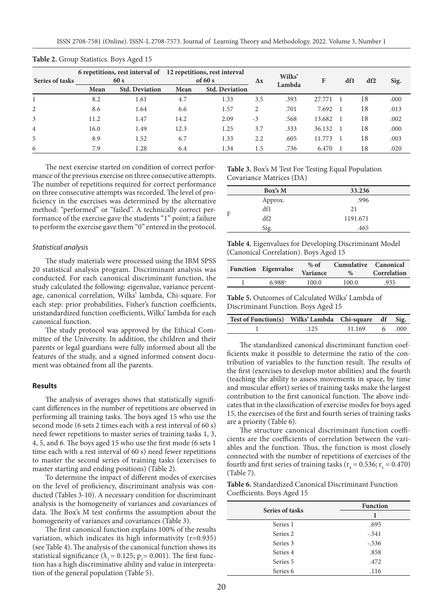| Series of tasks | 6 repetitions, rest interval of 12 repetitions, rest interval<br>60 s |                       | of $60 s$ |                       | $\Delta x$     | Wilks' | F      | df1 | df2 | Sig. |
|-----------------|-----------------------------------------------------------------------|-----------------------|-----------|-----------------------|----------------|--------|--------|-----|-----|------|
|                 | Mean                                                                  | <b>Std. Deviation</b> | Mean      | <b>Std. Deviation</b> |                | Lambda |        |     |     |      |
|                 | 8.2                                                                   | 1.61                  | 4.7       | 1.33                  | 3.5            | .393   | 27.771 |     | 18  | .000 |
| 2               | 8.6                                                                   | 1.64                  | 6.6       | 1.57                  | $\overline{2}$ | .701   | 7.692  |     | 18  | .013 |
| 3               | 11.2                                                                  | 1.47                  | 14.2      | 2.09                  | $-3$           | .568   | 13.682 |     | 18  | .002 |
| $\overline{4}$  | 16.0                                                                  | 1.49                  | 12.3      | 1.25                  | 3.7            | .333   | 36.132 |     | 18  | .000 |
| 5               | 8.9                                                                   | 1.52                  | 6.7       | 1.33                  | 2.2            | .605   | 11.773 |     | 18  | .003 |
| 6               | 7.9                                                                   | 1.28                  | 6.4       | 1.34                  | 1.5            | .736   | 6.470  |     | 18  | .020 |

#### **Table 2.** Group Statistics. Boys Aged 15

The next exercise started on condition of correct performance of the previous exercise on three consecutive attempts. The number of repetitions required for correct performance on three consecutive attempts was recorded. The level of proficiency in the exercises was determined by the alternative method: "performed" or "failed". A technically correct performance of the exercise gave the students "1" point; a failure to perform the exercise gave them "0" entered in the protocol.

#### *Statistical analysis*

The study materials were processed using the IBM SPSS 20 statistical analysis program. Discriminant analysis was conducted. For each canonical discriminant function, the study calculated the following: eigenvalue, variance percentage, canonical correlation, Wilks' lambda, Chi-square. For each step: prior probabilities, Fisher's function coefficients, unstandardized function coefficients, Wilks' lambda for each canonical function.

The study protocol was approved by the Ethical Committee of the University. In addition, the children and their parents or legal guardians were fully informed about all the features of the study, and a signed informed consent document was obtained from all the parents.

#### **Results**

The analysis of averages shows that statistically significant differences in the number of repetitions are observed in performing all training tasks. The boys aged 15 who use the second mode (6 sets 2 times each with a rest interval of 60 s) need fewer repetitions to master series of training tasks 1, 3, 4, 5, and 6. The boys aged 15 who use the first mode (6 sets 1 time each with a rest interval of 60 s) need fewer repetitions to master the second series of training tasks (exercises to master starting and ending positions) (Table 2).

To determine the impact of different modes of exercises on the level of proficiency, discriminant analysis was conducted (Tables 3-10). A necessary condition for discriminant analysis is the homogeneity of variances and covariances of data. The Box's M test confirms the assumption about the homogeneity of variances and covariances (Table 3).

The first canonical function explains 100% of the results variation, which indicates its high informativity (r=0.935) (see Table 4). The analysis of the canonical function shows its statistical significance ( $\lambda_1$  = 0.125;  $p_1$  = 0.001). The first function has a high discriminative ability and value in interpretation of the general population (Table 5).

**Table 3.** Box's M Test For Testing Equal Population Covariance Matrices (DA)

|   | Box's M | 33.236   |
|---|---------|----------|
|   | Approx. | .996     |
| F | df1     | 21       |
|   | df2     | 1191.671 |
|   | Sig.    | .465     |

**Table 4.** Eigenvalues for Developing Discriminant Model (Canonical Correlation). Boys Aged 15

| Function Eigenvalue  | $%$ of<br>Variance | Cumulative Canonical<br>$\%$ | Correlation |
|----------------------|--------------------|------------------------------|-------------|
| $6.988$ <sup>a</sup> | 100.0              | 100.0                        | 935         |

**Table 5.** Outcomes of Calculated Wilks' Lambda of Discriminant Function. Boys Aged 15

| Test of Function(s) Wilks' Lambda Chi-square df Sig. |      |               |  |
|------------------------------------------------------|------|---------------|--|
|                                                      | .125 | 31.169 6 .000 |  |

The standardized canonical discriminant function coefficients make it possible to determine the ratio of the contribution of variables to the function result. The results of the first (exercises to develop motor abilities) and the fourth (teaching the ability to assess movements in space, by time and muscular effort) series of training tasks make the largest contribution to the first canonical function. The above indicates that in the classification of exercise modes for boys aged 15, the exercises of the first and fourth series of training tasks are a priority (Table 6).

The structure canonical discriminant function coefficients are the coefficients of correlation between the variables and the function. Thus, the function is most closely connected with the number of repetitions of exercises of the fourth and first series of training tasks ( $r_4 = 0.536$ ;  $r_1 = 0.470$ ) (Table 7).

**Table 6.** Standardized Canonical Discriminant Function Coefficients. Boys Aged 15

| Series of tasks     | <b>Function</b> |  |  |
|---------------------|-----------------|--|--|
|                     |                 |  |  |
| Series 1            | .695            |  |  |
| Series <sub>2</sub> | $-.541$         |  |  |
| Series 3            | $-.536$         |  |  |
| Series 4            | .858            |  |  |
| Series 5            | .472            |  |  |
| Series <sub>6</sub> | .116            |  |  |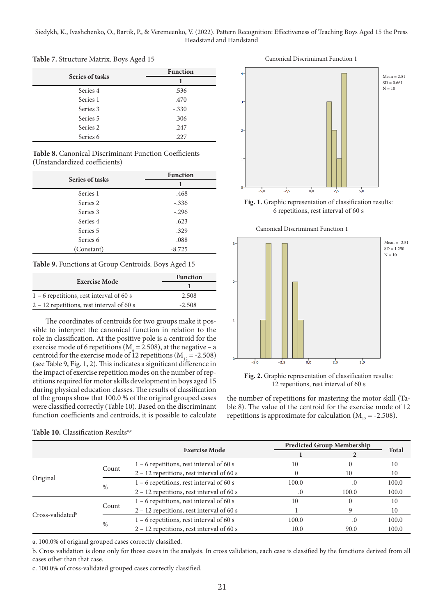| Series of tasks | <b>Function</b> |  |  |
|-----------------|-----------------|--|--|
|                 |                 |  |  |
| Series 4        | .536            |  |  |
| Series 1        | .470            |  |  |
| Series 3        | $-.330$         |  |  |
| Series 5        | .306            |  |  |
| Series 2        | .247            |  |  |
| Series 6        | .227            |  |  |

### **Table 7.** Structure Matrix. Boys Aged 15

#### **Table 8.** Canonical Discriminant Function Coefficients (Unstandardized coefficients)

| Series of tasks     | <b>Function</b> |  |  |
|---------------------|-----------------|--|--|
|                     | 1               |  |  |
| Series 1            | .468            |  |  |
| Series 2            | $-.336$         |  |  |
| Series 3            | $-.296$         |  |  |
| Series 4            | .623            |  |  |
| Series 5            | .329            |  |  |
| Series <sub>6</sub> | .088            |  |  |
| (Constant)          | $-8.725$        |  |  |

#### **Table 9.** Functions at Group Centroids. Boys Aged 15

|                                             | <b>Function</b> |  |  |
|---------------------------------------------|-----------------|--|--|
| <b>Exercise Mode</b>                        |                 |  |  |
| $1 - 6$ repetitions, rest interval of 60 s  | 2.508           |  |  |
| $2 - 12$ repetitions, rest interval of 60 s | $-2.508$        |  |  |

The coordinates of centroids for two groups make it possible to interpret the canonical function in relation to the role in classification. At the positive pole is a centroid for the exercise mode of 6 repetitions ( $M<sub>6</sub> = 2.508$ ), at the negative – a centroid for the exercise mode of 12 repetitions  $(M_{12} = -2.508)$ (see Table 9, Fig. 1, 2). This indicates a significant difference in the impact of exercise repetition modes on the number of repetitions required for motor skills development in boys aged 15 during physical education classes. The results of classification of the groups show that 100.0 % of the original grouped cases were classified correctly (Table 10). Based on the discriminant function coefficients and centroids, it is possible to calculate



Fig. 1. Graphic representation of classification results: 6 repetitions, rest interval of 60 s





Fig. 2. Graphic representation of classification results: 12 repetitions, rest interval of 60 s

the number of repetitions for mastering the motor skill (Table 8). The value of the centroid for the exercise mode of 12 repetitions is approximate for calculation  $(M_{12} = -2.508)$ .

|                    |               |                                             |       | <b>Predicted Group Membership</b> |              |
|--------------------|---------------|---------------------------------------------|-------|-----------------------------------|--------------|
|                    |               | <b>Exercise Mode</b>                        |       |                                   | <b>Total</b> |
|                    |               | $1 - 6$ repetitions, rest interval of 60 s  | 10    |                                   | 10           |
|                    | Count         | $2 - 12$ repetitions, rest interval of 60 s |       | 10                                | 10           |
| Original           |               | $1 - 6$ repetitions, rest interval of 60 s  | 100.0 | $\cdot$                           | 100.0        |
|                    | $\frac{0}{0}$ | $2 - 12$ repetitions, rest interval of 60 s |       | 100.0                             | 100.0        |
| $Cross-valiated^b$ |               | $1 - 6$ repetitions, rest interval of 60 s  | 10    |                                   | 10           |
|                    | Count         | $2 - 12$ repetitions, rest interval of 60 s |       |                                   | 10           |
|                    | %             | $1 - 6$ repetitions, rest interval of 60 s  | 100.0 | $\cdot$                           | 100.0        |
|                    |               | $2 - 12$ repetitions, rest interval of 60 s | 10.0  | 90.0                              | 100.0        |

Table 10. Classification Results<sup>a,c</sup>

a. 100.0% of original grouped cases correctly classified.

b. Cross validation is done only for those cases in the analysis. In cross validation, each case is classified by the functions derived from all cases other than that case.

c. 100.0% of cross-validated grouped cases correctly classified.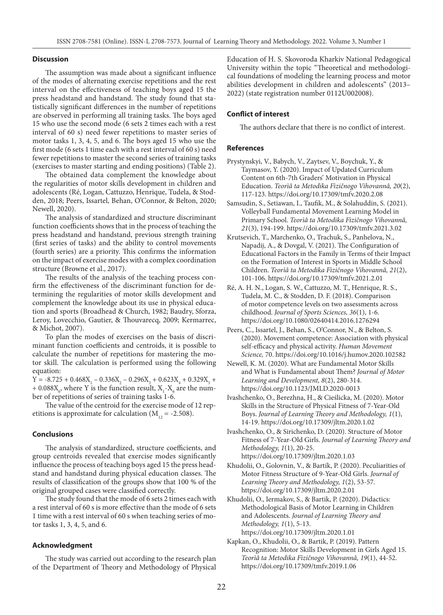#### **Discussion**

The assumption was made about a significant influence of the modes of alternating exercise repetitions and the rest interval on the effectiveness of teaching boys aged 15 the press headstand and handstand. The study found that statistically significant differences in the number of repetitions are observed in performing all training tasks. The boys aged 15 who use the second mode (6 sets 2 times each with a rest interval of 60 s) need fewer repetitions to master series of motor tasks 1, 3, 4, 5, and 6. The boys aged 15 who use the first mode (6 sets 1 time each with a rest interval of 60 s) need fewer repetitions to master the second series of training tasks (exercises to master starting and ending positions) (Table 2).

The obtained data complement the knowledge about the regularities of motor skills development in children and adolescents (Ré, Logan, Cattuzzo, Henrique, Tudela, & Stodden, 2018; Peers, Issartel, Behan, O'Connor, & Belton, 2020; Newell, 2020).

The analysis of standardized and structure discriminant function coefficients shows that in the process of teaching the press headstand and handstand, previous strength training (first series of tasks) and the ability to control movements (fourth series) are a priority. This confirms the information on the impact of exercise modes with a complex coordination structure (Browne et al., 2017).

The results of the analysis of the teaching process confirm the effectiveness of the discriminant function for determining the regularities of motor skills development and complement the knowledge about its use in physical education and sports (Broadhead & Church, 1982; Baudry, Sforza, Leroy, Lovecchio, Gautier, & Thouvarecq, 2009; Kermarrec, & Michot, 2007).

To plan the modes of exercises on the basis of discriminant function coefficients and centroids, it is possible to calculate the number of repetitions for mastering the motor skill. The calculation is performed using the following equation:

 $Y = -8.725 + 0.468X_1 - 0.336X_2 - 0.296X_3 + 0.623X_4 + 0.329X_5 +$ +  $0.088X_{\rm g}$ , where Y is the function result,  $X_{\rm i}$ - $X_{\rm g}$  are the number of repetitions of series of training tasks 1-6.

The value of the centroid for the exercise mode of 12 repetitions is approximate for calculation ( $M_{12} = -2.508$ ).

#### **Conclusions**

The analysis of standardized, structure coefficients, and group centroids revealed that exercise modes significantly influence the process of teaching boys aged 15 the press headstand and handstand during physical education classes. The results of classification of the groups show that 100 % of the original grouped cases were classified correctly.

The study found that the mode of 6 sets 2 times each with a rest interval of 60 s is more effective than the mode of 6 sets 1 time with a rest interval of 60 s when teaching series of motor tasks 1, 3, 4, 5, and 6.

#### **Acknowledgment**

The study was carried out according to the research plan of the Department of Theory and Methodology of Physical

Education of H. S. Skovoroda Kharkiv National Pedagogical University within the topic "Theoretical and methodological foundations of modeling the learning process and motor abilities development in children and adolescents" (2013– 2022) (state registration number 0112U002008).

#### **Conflict of interest**

The authors declare that there is no conflict of interest.

#### **References**

- Prystynskyi, V., Babych, V., Zaytsev, V., Boychuk, Y., & Taymasov, Y. (2020). Impact of Updated Curriculum Content on 6th-7th Graders' Motivation in Physical Education. *Teorìâ ta Metodika Fìzičnogo Vihovannâ, 20*(2), 117-123. https://doi.org/10.17309/tmfv.2020.2.08
- Samsudin, S., Setiawan, I., Taufik, M., & Solahuddin, S. (2021). Volleyball Fundamental Movement Learning Model in Primary School. *Teorìâ ta Metodika Fìzičnogo Vihovannâ, 21*(3), 194-199. https://doi.org/10.17309/tmfv.2021.3.02
- Krutsevich, T., Marchenko, O., Trachuk, S., Panhelova, N., Napadij, A., & Dovgal, V. (2021). The Configuration of Educational Factors in the Family in Terms of their Impact on the Formation of Interest in Sports in Middle School Children. *Teorìâ ta Metodika Fìzičnogo Vihovannâ, 21*(2), 101-106. https://doi.org/10.17309/tmfv.2021.2.01
- Ré, A. H. N., Logan, S. W., Cattuzzo, M. T., Henrique, R. S., Tudela, M. C., & Stodden, D. F. (2018). Comparison of motor competence levels on two assessments across childhood. *Journal of Sports Sciences, 36*(1), 1-6. https://doi.org/10.1080/02640414.2016.1276294
- Peers, C., Issartel, J., Behan, S., O'Connor, N., & Belton, S. (2020). Movement competence: Association with physical self-efficacy and physical activity. *Human Movement Science,* 70. https://doi.org/10.1016/j.humov.2020.102582
- Newell, K. M. (2020). What are Fundamental Motor Skills and What is Fundamental about Them? *Journal of Motor Learning and Development, 8*(2), 280-314. https://doi.org/10.1123/JMLD.2020-0013
- Ivashchenko, O., Berezhna, H., & Cieślicka, M. (2020). Motor Skills in the Structure of Physical Fitness of 7-Year-Old Boys. *Journal of Learning Theory and Methodology, 1*(1), 14-19. https://doi.org/10.17309/jltm.2020.1.02
- Ivashchenko, O., & Sirichenko, D. (2020). Structure of Motor Fitness of 7-Year-Old Girls. *Journal of Learning Theory and Methodology, 1*(1), 20-25. https://doi.org/10.17309/jltm.2020.1.03
- Khudolii, O., Golovnin, V., & Bartík, P. (2020). Peculiarities of Motor Fitness Structure of 9-Year-Old Girls. *Journal of Learning Theory and Methodology, 1*(2), 53-57. https://doi.org/10.17309/jltm.2020.2.01
- Khudolii, O., Iermakov, S., & Bartik, P. (2020). Didactics: Methodological Basis of Motor Learning in Children and Adolescents. *Journal of Learning Theory and Methodology, 1*(1), 5-13. https://doi.org/10.17309/jltm.2020.1.01
- Kapkan, O., Khudolii, O., & Bartik, P. (2019). Pattern Recognition: Motor Skills Development in Girls Aged 15. *Teorìâ ta Metodika Fìzičnogo Vihovannâ, 19*(1), 44-52. https://doi.org/10.17309/tmfv.2019.1.06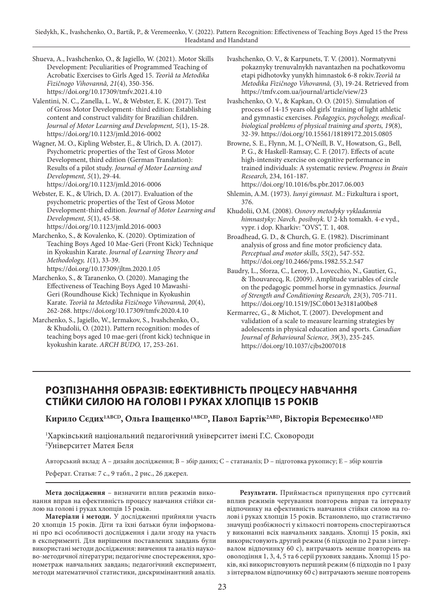Shueva, A., Ivashchenko, O., & Jagiello, W. (2021). Motor Skills Development: Peculiarities of Programmed Teaching of Acrobatic Exercises to Girls Aged 15. *Teorìâ ta Metodika Fìzičnogo Vihovannâ, 21*(4), 350-356. https://doi.org/10.17309/tmfv.2021.4.10

Valentini, N. C., Zanella, L. W., & Webster, E. K. (2017). Test of Gross Motor Development- third edition: Establishing content and construct validity for Brazilian children. *Journal of Motor Learning and Development, 5*(1), 15-28. https://doi.org/10.1123/jmld.2016-0002

Wagner, M. O., Kipling Webster, E., & Ulrich, D. A. (2017). Psychometric properties of the Test of Gross Motor Development, third edition (German Translation): Results of a pilot study. *Journal of Motor Learning and Development, 5*(1), 29-44. https://doi.org/10.1123/jmld.2016-0006

Webster, E. K., & Ulrich, D. A. (2017). Evaluation of the psychometric properties of the Test of Gross Motor Development-third edition. *Journal of Motor Learning and Development, 5*(1), 45-58. https://doi.org/10.1123/jmld.2016-0003

Marchenko, S., & Kovalenko, K. (2020). Optimization of Teaching Boys Aged 10 Mae-Geri (Front Kick) Technique in Kyokushin Karate. *Journal of Learning Theory and Methodology, 1*(1), 33-39. https://doi.org/10.17309/jltm.2020.1.05

Marchenko, S., & Taranenko, O. (2020). Managing the Effectiveness of Teaching Boys Aged 10 Mawashi-Geri (Roundhouse Kick) Technique in Kyokushin Karate. *Teorìâ ta Metodika Fìzičnogo Vihovannâ, 20*(4), 262-268. https://doi.org/10.17309/tmfv.2020.4.10

Marchenko, S., Jagiello, W., Iermakov, S., Ivashchenko, O., & Khudolii, O. (2021). Pattern recognition: modes of teaching boys aged 10 mae-geri (front kick) technique in kyokushin karate. *ARCH BUDO,* 17, 253-261.

Ivashchenko, O. V., & Karpunets, T. V. (2001). Normatyvni pokaznyky trenuvalnykh navantazhen na pochatkovomu etapi pidhotovky yunykh himnastok 6-8 rokiv.*Teorìâ ta Metodika Fìzičnogo Vihovannâ,* (3), 19-24. Retrieved from https://tmfv.com.ua/journal/article/view/23

Ivashchenko, O. V., & Kapkan, O. O. (2015). Simulation of process of 14-15 years old girls' training of light athletic and gymnastic exercises. *Pedagogics, psychology, medicalbiological problems of physical training and sports, 19*(8), 32-39. https://doi.org/10.15561/18189172.2015.0805

Browne, S. E., Flynn, M. J., O'Neill, B. V., Howatson, G., Bell, P. G., & Haskell-Ramsay, C. F. (2017). Effects of acute high-intensity exercise on cognitive performance in trained individuals: A systematic review. *Progress in Brain Research,* 234, 161-187. https://doi.org/10.1016/bs.pbr.2017.06.003

Shlemin, A.M. (1973). *Iunyi gimnast.* M.: Fizkultura i sport, 376.

Khudolii, O.M. (2008). *Osnovy metodyky vykladannia himnastyky: Navch. posibnyk.* U 2-kh tomakh. 4-e vyd., vypr. i dop. Kharkiv: "OVS", T. 1, 408.

Broadhead, G. D., & Church, G. E. (1982). Discriminant analysis of gross and fine motor proficiency data. *Perceptual and motor skills, 55*(2), 547-552. https://doi.org/10.2466/pms.1982.55.2.547

Baudry, L., Sforza, C., Leroy, D., Lovecchio, N., Gautier, G., & Thouvarecq, R. (2009). Amplitude variables of circle on the pedagogic pommel horse in gymnastics. *Journal of Strength and Conditioning Research, 23*(3), 705-711. https://doi.org/10.1519/JSC.0b013e3181a00be8

Kermarrec, G., & Michot, T. (2007). Development and validation of a scale to measure learning strategies by adolescents in physical education and sports. *Canadian Journal of Behavioural Science, 39*(3), 235-245. https://doi.org/10.1037/cjbs2007018

# **РОЗПІЗНАННЯ ОБРАЗІВ: ЕФЕКТИВНІСТЬ ПРОЦЕСУ НАВЧАННЯ СТІЙКИ СИЛОЮ НА ГОЛОВІ І РУКАХ ХЛОПЦІВ 15 РОКІВ**

Кирило Сєдих<sup>1АВСD</sup>, Ольга Іващенко<sup>1АВСD</sup>, Павол Бартік<sup>2АВD</sup>, Вікторія Веремеєнко<sup>1АВD</sup>

1 Харківський національний педагогічний університет імені Г.С. Сковороди 2 Університет Матея Беля

Авторський вклад: A – дизайн дослідження; B – збір даних; C – статаналіз; D – підготовка рукопису; E – збір коштів

Реферат. Статья: 7 с., 9 табл., 2 рис., 26 джерел.

**Мета дослідження** – визначити вплив режимів виконання вправ на ефективність процесу навчання стійки силою на голові і руках хлопців 15 років.

**Матеріали і методи.** У дослідженні прийняли участь 20 хлопців 15 років. Діти та їхні батьки були інформовані про всі особливості дослідження і дали згоду на участь в експерименті. Для вирішення поставлених завдань були використані методи дослідження: вивчення та аналіз науково-методичної літератури; педагогічне спостереження, хронометраж навчальних завдань; педагогічний експеримент, методи математичної статистики, дискримінантний аналіз.

**Результати.** Приймається припущення про суттєвий вплив режимів чергування повторень вправ та інтервалу відпочинку на ефективність навчання стійки силою на голові і руках хлопців 15 років. Встановлено, що статистично значущі розбіжності у кількості повторень спостерігаються у виконанні всіх навчальних завдань. Хлопці 15 років, які використовують другий режим (6 підходів по 2 рази з інтервалом відпочинку 60 с), витрачають менше повторень на оволодіння 1, 3, 4, 5 та 6 серії рухових завдань. Хлопці 15 років, які використовують перший режим (6 підходів по 1 разу з інтервалом відпочинку 60 с) витрачають менше повторень